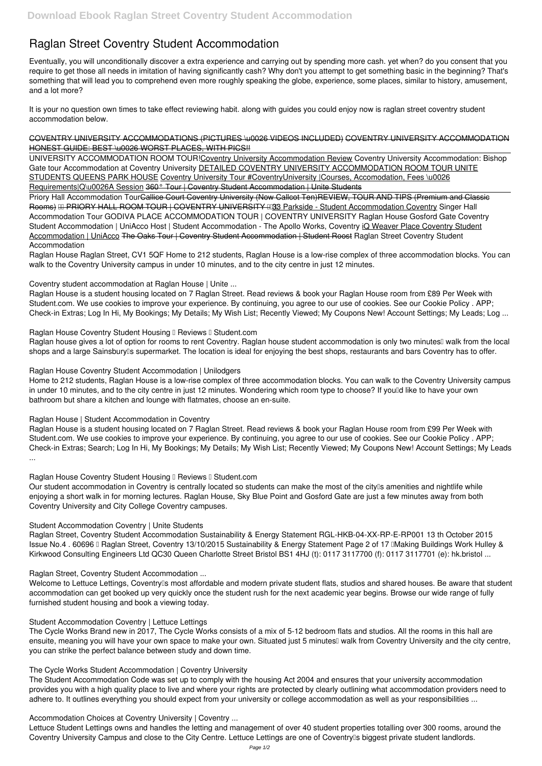## **Raglan Street Coventry Student Accommodation**

Eventually, you will unconditionally discover a extra experience and carrying out by spending more cash. yet when? do you consent that you require to get those all needs in imitation of having significantly cash? Why don't you attempt to get something basic in the beginning? That's something that will lead you to comprehend even more roughly speaking the globe, experience, some places, similar to history, amusement, and a lot more?

COVENTRY UNIVERSITY ACCOMMODATIONS (PICTURES \u0026 VIDEOS INCLUDED) COVENTRY UNIVERSITY ACCOMMODATION HONEST GUIDE: BEST \u0026 WORST PLACES, WITH PICS!!

UNIVERSITY ACCOMMODATION ROOM TOUR!Coventry University Accommodation Review *Coventry University Accommodation: Bishop Gate tour Accommodation at Coventry University* DETAILED COVENTRY UNIVERSITY ACCOMMODATION ROOM TOUR UNITE STUDENTS QUEENS PARK HOUSE Coventry University Tour #CoventryUniversity |Courses, Accomodation, Fees \u0026 Requirements|Q\u0026A Session 360° Tour | Coventry Student Accommodation | Unite Students

It is your no question own times to take effect reviewing habit. along with guides you could enjoy now is **raglan street coventry student accommodation** below.

Priory Hall Accommodation Tour<del>Callice Court Coventry University (Now Callcot Ten)REVIEW, TOUR AND TIPS (Premium and Classic</del> Rooms) **III PRIORY HALL ROOM TOUR I COVENTRY UNIVERSITY 133** Parkside - Student Accommodation Coventry Singer Hall *Accommodation Tour GODIVA PLACE ACCOMMODATION TOUR | COVENTRY UNIVERSITY* **Raglan House Gosford Gate Coventry Student Accommodation | UniAcco** Host | Student Accommodation - The Apollo Works, Coventry iQ Weaver Place Coventry Student Accommodation | UniAcco The Oaks Tour | Coventry Student Accommodation | Student Roost **Raglan Street Coventry Student Accommodation**

Raglan House Raglan Street, CV1 5QF Home to 212 students, Raglan House is a low-rise complex of three accommodation blocks. You can walk to the Coventry University campus in under 10 minutes, and to the city centre in just 12 minutes.

Our student accommodation in Coventry is centrally located so students can make the most of the city<sup>1</sup>s amenities and nightlife while enjoying a short walk in for morning lectures. Raglan House, Sky Blue Point and Gosford Gate are just a few minutes away from both Coventry University and City College Coventry campuses.

Raglan Street, Coventry Student Accommodation Sustainability & Energy Statement RGL-HKB-04-XX-RP-E-RP001 13 th October 2015 Issue No.4. 60696 II Raglan Street, Coventry 13/10/2015 Sustainability & Energy Statement Page 2 of 17 IIMaking Buildings Work Hulley & Kirkwood Consulting Engineers Ltd QC30 Queen Charlotte Street Bristol BS1 4HJ (t): 0117 3117700 (f): 0117 3117701 (e): hk.bristol ...

**Coventry student accommodation at Raglan House | Unite ...**

Raglan House is a student housing located on 7 Raglan Street. Read reviews & book your Raglan House room from £89 Per Week with Student.com. We use cookies to improve your experience. By continuing, you agree to our use of cookies. See our Cookie Policy . APP; Check-in Extras; Log In Hi, My Bookings; My Details; My Wish List; Recently Viewed; My Coupons New! Account Settings; My Leads; Log ...

**Raglan House Coventry Student Housing I Reviews I Student.com** 

Raglan house gives a lot of option for rooms to rent Coventry. Raglan house student accommodation is only two minutes<sup>[]</sup> walk from the local shops and a large Sainsburylls supermarket. The location is ideal for enjoying the best shops, restaurants and bars Coventry has to offer.

Lettuce Student Lettings owns and handles the letting and management of over 40 student properties totalling over 300 rooms, around the Coventry University Campus and close to the City Centre. Lettuce Lettings are one of Coventry<sup>[]</sup>s biggest private student landlords.

**Raglan House Coventry Student Accommodation | Unilodgers**

Home to 212 students, Raglan House is a low-rise complex of three accommodation blocks. You can walk to the Coventry University campus in under 10 minutes, and to the city centre in just 12 minutes. Wondering which room type to choose? If you'd like to have your own bathroom but share a kitchen and lounge with flatmates, choose an en-suite.

**Raglan House | Student Accommodation in Coventry**

Raglan House is a student housing located on 7 Raglan Street. Read reviews & book your Raglan House room from £99 Per Week with Student.com. We use cookies to improve your experience. By continuing, you agree to our use of cookies. See our Cookie Policy . APP; Check-in Extras; Search; Log In Hi, My Bookings; My Details; My Wish List; Recently Viewed; My Coupons New! Account Settings; My Leads ...

**Raglan House Coventry Student Housing I Reviews I Student.com** 

**Student Accommodation Coventry | Unite Students**

**Raglan Street, Coventry Student Accommodation ...**

Welcome to Lettuce Lettings, Coventry's most affordable and modern private student flats, studios and shared houses. Be aware that student accommodation can get booked up very quickly once the student rush for the next academic year begins. Browse our wide range of fully furnished student housing and book a viewing today.

**Student Accommodation Coventry | Lettuce Lettings**

The Cycle Works Brand new in 2017, The Cycle Works consists of a mix of 5-12 bedroom flats and studios. All the rooms in this hall are ensuite, meaning you will have your own space to make your own. Situated just 5 minutes<sup>"</sup> walk from Coventry University and the city centre, you can strike the perfect balance between study and down time.

**The Cycle Works Student Accommodation | Coventry University**

The Student Accommodation Code was set up to comply with the housing Act 2004 and ensures that your university accommodation provides you with a high quality place to live and where your rights are protected by clearly outlining what accommodation providers need to adhere to. It outlines everything you should expect from your university or college accommodation as well as your responsibilities ...

**Accommodation Choices at Coventry University | Coventry ...**